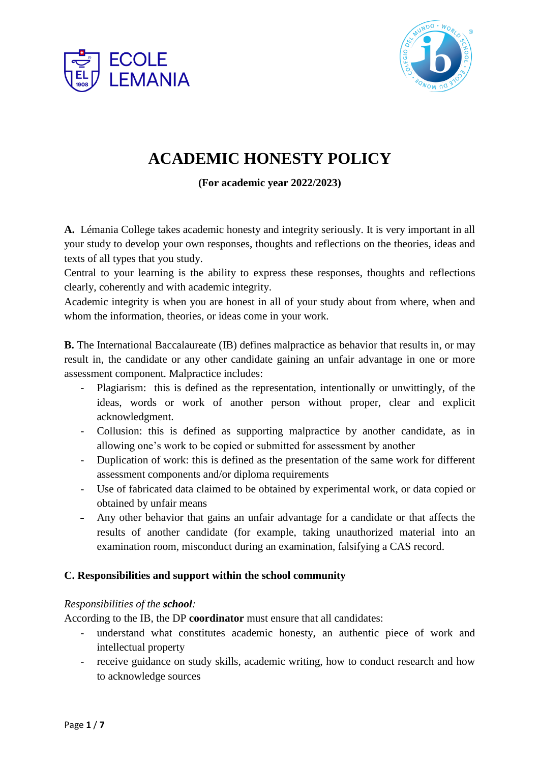



# **ACADEMIC HONESTY POLICY**

**(For academic year 2022/2023)**

**A.** Lémania College takes academic honesty and integrity seriously. It is very important in all your study to develop your own responses, thoughts and reflections on the theories, ideas and texts of all types that you study.

Central to your learning is the ability to express these responses, thoughts and reflections clearly, coherently and with academic integrity.

Academic integrity is when you are honest in all of your study about from where, when and whom the information, theories, or ideas come in your work.

**B.** The International Baccalaureate (IB) defines malpractice as behavior that results in, or may result in, the candidate or any other candidate gaining an unfair advantage in one or more assessment component. Malpractice includes:

- Plagiarism: this is defined as the representation, intentionally or unwittingly, of the ideas, words or work of another person without proper, clear and explicit acknowledgment.
- Collusion: this is defined as supporting malpractice by another candidate, as in allowing one's work to be copied or submitted for assessment by another
- Duplication of work: this is defined as the presentation of the same work for different assessment components and/or diploma requirements
- Use of fabricated data claimed to be obtained by experimental work, or data copied or obtained by unfair means
- Any other behavior that gains an unfair advantage for a candidate or that affects the results of another candidate (for example, taking unauthorized material into an examination room, misconduct during an examination, falsifying a CAS record.

# **C. Responsibilities and support within the school community**

# *Responsibilities of the school:*

According to the IB, the DP **coordinator** must ensure that all candidates:

- understand what constitutes academic honesty, an authentic piece of work and intellectual property
- receive guidance on study skills, academic writing, how to conduct research and how to acknowledge sources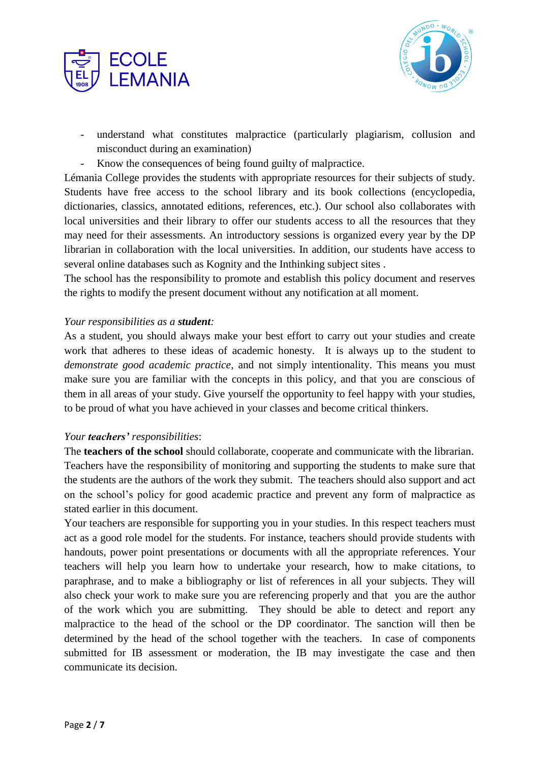



- understand what constitutes malpractice (particularly plagiarism, collusion and misconduct during an examination)
- Know the consequences of being found guilty of malpractice.

Lémania College provides the students with appropriate resources for their subjects of study. Students have free access to the school library and its book collections (encyclopedia, dictionaries, classics, annotated editions, references, etc.). Our school also collaborates with local universities and their library to offer our students access to all the resources that they may need for their assessments. An introductory sessions is organized every year by the DP librarian in collaboration with the local universities. In addition, our students have access to several online databases such as Kognity and the Inthinking subject sites .

The school has the responsibility to promote and establish this policy document and reserves the rights to modify the present document without any notification at all moment.

#### *Your responsibilities as a student:*

As a student, you should always make your best effort to carry out your studies and create work that adheres to these ideas of academic honesty. It is always up to the student to *demonstrate good academic practice*, and not simply intentionality. This means you must make sure you are familiar with the concepts in this policy, and that you are conscious of them in all areas of your study. Give yourself the opportunity to feel happy with your studies, to be proud of what you have achieved in your classes and become critical thinkers.

#### *Your teachers' responsibilities*:

The **teachers of the school** should collaborate, cooperate and communicate with the librarian. Teachers have the responsibility of monitoring and supporting the students to make sure that the students are the authors of the work they submit. The teachers should also support and act on the school's policy for good academic practice and prevent any form of malpractice as stated earlier in this document.

Your teachers are responsible for supporting you in your studies. In this respect teachers must act as a good role model for the students. For instance, teachers should provide students with handouts, power point presentations or documents with all the appropriate references. Your teachers will help you learn how to undertake your research, how to make citations, to paraphrase, and to make a bibliography or list of references in all your subjects. They will also check your work to make sure you are referencing properly and that you are the author of the work which you are submitting. They should be able to detect and report any malpractice to the head of the school or the DP coordinator. The sanction will then be determined by the head of the school together with the teachers. In case of components submitted for IB assessment or moderation, the IB may investigate the case and then communicate its decision.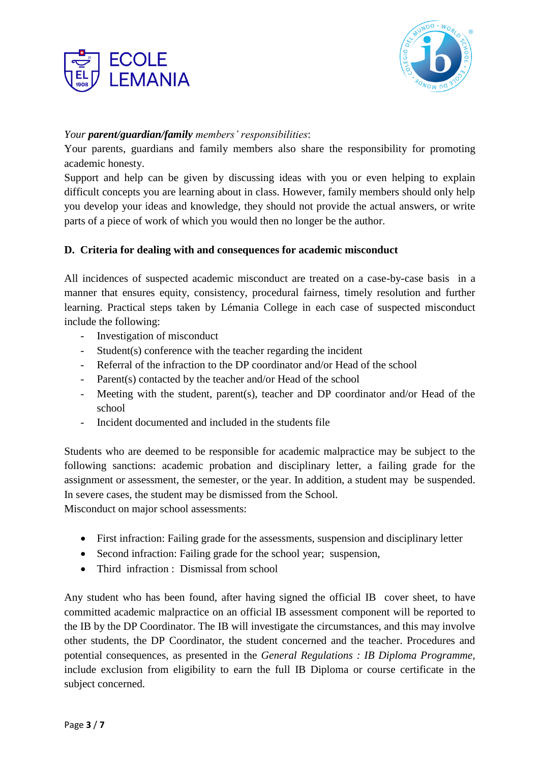



## *Your parent/guardian/family members' responsibilities*:

Your parents, guardians and family members also share the responsibility for promoting academic honesty.

Support and help can be given by discussing ideas with you or even helping to explain difficult concepts you are learning about in class. However, family members should only help you develop your ideas and knowledge, they should not provide the actual answers, or write parts of a piece of work of which you would then no longer be the author.

## **D. Criteria for dealing with and consequences for academic misconduct**

All incidences of suspected academic misconduct are treated on a case-by-case basis in a manner that ensures equity, consistency, procedural fairness, timely resolution and further learning. Practical steps taken by Lémania College in each case of suspected misconduct include the following:

- Investigation of misconduct
- Student(s) conference with the teacher regarding the incident
- Referral of the infraction to the DP coordinator and/or Head of the school
- Parent(s) contacted by the teacher and/or Head of the school
- Meeting with the student, parent(s), teacher and DP coordinator and/or Head of the school
- Incident documented and included in the students file

Students who are deemed to be responsible for academic malpractice may be subject to the following sanctions: academic probation and disciplinary letter, a failing grade for the assignment or assessment, the semester, or the year. In addition, a student may be suspended. In severe cases, the student may be dismissed from the School.

Misconduct on major school assessments:

- First infraction: Failing grade for the assessments, suspension and disciplinary letter
- Second infraction: Failing grade for the school year; suspension,
- Third infraction : Dismissal from school

Any student who has been found, after having signed the official IB cover sheet, to have committed academic malpractice on an official IB assessment component will be reported to the IB by the DP Coordinator. The IB will investigate the circumstances, and this may involve other students, the DP Coordinator, the student concerned and the teacher. Procedures and potential consequences, as presented in the *General Regulations : IB Diploma Programme,*  include exclusion from eligibility to earn the full IB Diploma or course certificate in the subject concerned.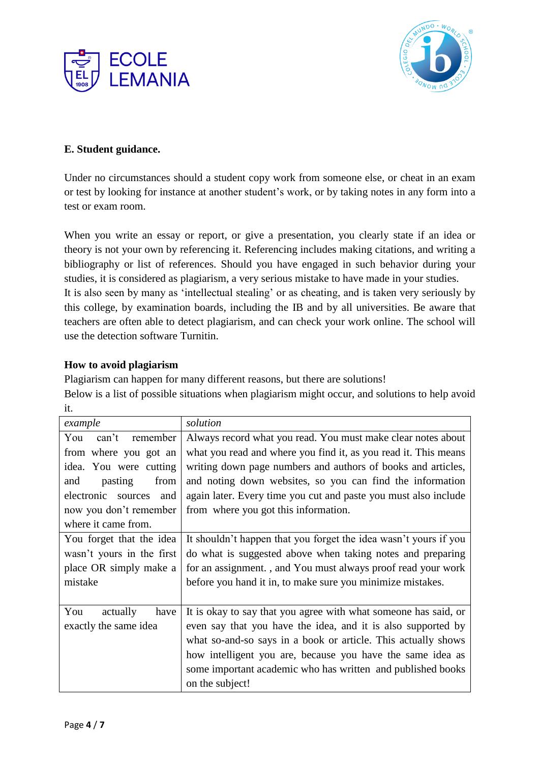



# **E. Student guidance.**

Under no circumstances should a student copy work from someone else, or cheat in an exam or test by looking for instance at another student's work, or by taking notes in any form into a test or exam room.

When you write an essay or report, or give a presentation, you clearly state if an idea or theory is not your own by referencing it. Referencing includes making citations, and writing a bibliography or list of references. Should you have engaged in such behavior during your studies, it is considered as plagiarism, a very serious mistake to have made in your studies. It is also seen by many as 'intellectual stealing' or as cheating, and is taken very seriously by this college, by examination boards, including the IB and by all universities. Be aware that teachers are often able to detect plagiarism, and can check your work online. The school will use the detection software Turnitin.

## **How to avoid plagiarism**

Plagiarism can happen for many different reasons, but there are solutions! Below is a list of possible situations when plagiarism might occur, and solutions to help avoid it.

| example                   | solution                                                         |
|---------------------------|------------------------------------------------------------------|
| remember<br>can't<br>You  | Always record what you read. You must make clear notes about     |
| from where you got an     | what you read and where you find it, as you read it. This means  |
| idea. You were cutting    | writing down page numbers and authors of books and articles,     |
| pasting<br>from<br>and    | and noting down websites, so you can find the information        |
| electronic sources<br>and | again later. Every time you cut and paste you must also include  |
| now you don't remember    | from where you got this information.                             |
| where it came from.       |                                                                  |
| You forget that the idea  | It shouldn't happen that you forget the idea wasn't yours if you |
| wasn't yours in the first | do what is suggested above when taking notes and preparing       |
| place OR simply make a    | for an assignment., and You must always proof read your work     |
| mistake                   | before you hand it in, to make sure you minimize mistakes.       |
|                           |                                                                  |
| You<br>actually<br>have   | It is okay to say that you agree with what someone has said, or  |
| exactly the same idea     | even say that you have the idea, and it is also supported by     |
|                           | what so-and-so says in a book or article. This actually shows    |
|                           | how intelligent you are, because you have the same idea as       |
|                           | some important academic who has written and published books      |
|                           | on the subject!                                                  |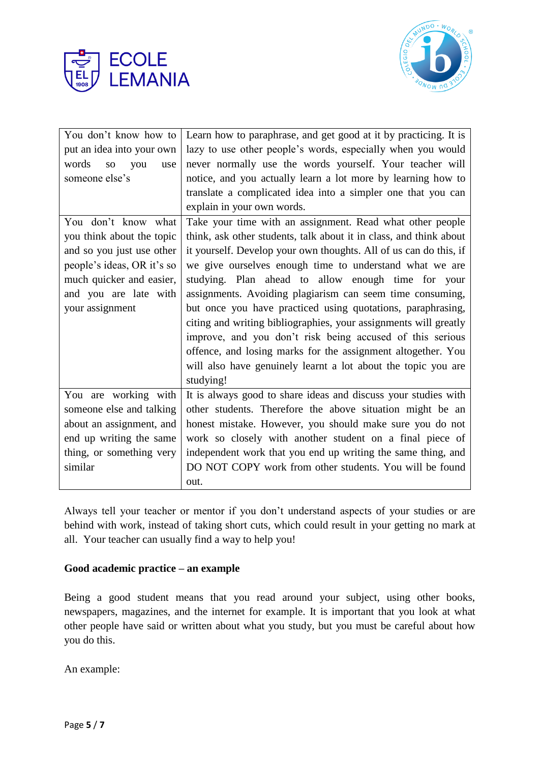



| You don't know how to                  | Learn how to paraphrase, and get good at it by practicing. It is   |
|----------------------------------------|--------------------------------------------------------------------|
| put an idea into your own              | lazy to use other people's words, especially when you would        |
| words<br>you<br>SO <sub>1</sub><br>use | never normally use the words yourself. Your teacher will           |
| someone else's                         | notice, and you actually learn a lot more by learning how to       |
|                                        | translate a complicated idea into a simpler one that you can       |
|                                        | explain in your own words.                                         |
| You don't know what                    | Take your time with an assignment. Read what other people          |
| you think about the topic              | think, ask other students, talk about it in class, and think about |
| and so you just use other              | it yourself. Develop your own thoughts. All of us can do this, if  |
| people's ideas, OR it's so             | we give ourselves enough time to understand what we are            |
| much quicker and easier,               | studying. Plan ahead to allow enough time for your                 |
| and you are late with                  | assignments. Avoiding plagiarism can seem time consuming,          |
| your assignment                        | but once you have practiced using quotations, paraphrasing,        |
|                                        | citing and writing bibliographies, your assignments will greatly   |
|                                        | improve, and you don't risk being accused of this serious          |
|                                        | offence, and losing marks for the assignment altogether. You       |
|                                        | will also have genuinely learnt a lot about the topic you are      |
|                                        | studying!                                                          |
| You are working with                   | It is always good to share ideas and discuss your studies with     |
| someone else and talking               | other students. Therefore the above situation might be an          |
| about an assignment, and               | honest mistake. However, you should make sure you do not           |
| end up writing the same                | work so closely with another student on a final piece of           |
| thing, or something very               | independent work that you end up writing the same thing, and       |
| similar                                | DO NOT COPY work from other students. You will be found            |
|                                        | out.                                                               |

Always tell your teacher or mentor if you don't understand aspects of your studies or are behind with work, instead of taking short cuts, which could result in your getting no mark at all. Your teacher can usually find a way to help you!

#### **Good academic practice – an example**

Being a good student means that you read around your subject, using other books, newspapers, magazines, and the internet for example. It is important that you look at what other people have said or written about what you study, but you must be careful about how you do this.

An example: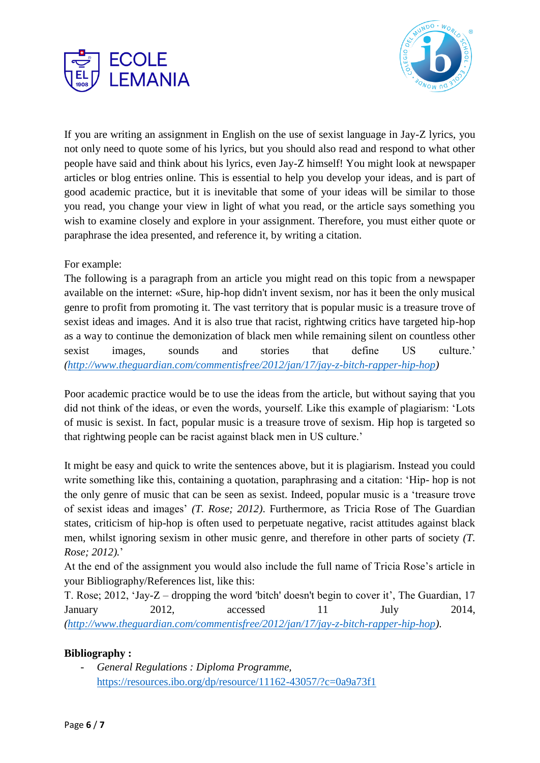



If you are writing an assignment in English on the use of sexist language in Jay-Z lyrics, you not only need to quote some of his lyrics, but you should also read and respond to what other people have said and think about his lyrics, even Jay-Z himself! You might look at newspaper articles or blog entries online. This is essential to help you develop your ideas, and is part of good academic practice, but it is inevitable that some of your ideas will be similar to those you read, you change your view in light of what you read, or the article says something you wish to examine closely and explore in your assignment. Therefore, you must either quote or paraphrase the idea presented, and reference it, by writing a citation.

## For example:

The following is a paragraph from an article you might read on this topic from a newspaper available on the internet: «Sure, hip-hop didn't invent sexism, nor has it been the only musical genre to profit from promoting it. The vast territory that is popular music is a treasure trove of sexist ideas and images. And it is also true that racist, rightwing critics have targeted hip-hop as a way to continue the demonization of black men while remaining silent on countless other sexist images, sounds and stories that define US culture.' *[\(http://www.theguardian.com/commentisfree/2012/jan/17/jay-z-bitch-rapper-hip-hop\)](http://www.theguardian.com/commentisfree/2012/jan/17/jay-z-bitch-rapper-hip-hop)*

Poor academic practice would be to use the ideas from the article, but without saying that you did not think of the ideas, or even the words, yourself. Like this example of plagiarism: 'Lots of music is sexist. In fact, popular music is a treasure trove of sexism. Hip hop is targeted so that rightwing people can be racist against black men in US culture.'

It might be easy and quick to write the sentences above, but it is plagiarism. Instead you could write something like this, containing a quotation, paraphrasing and a citation: 'Hip- hop is not the only genre of music that can be seen as sexist. Indeed, popular music is a 'treasure trove of sexist ideas and images' *(T. Rose; 2012)*. Furthermore, as Tricia Rose of The Guardian states, criticism of hip-hop is often used to perpetuate negative, racist attitudes against black men, whilst ignoring sexism in other music genre, and therefore in other parts of society *(T. Rose; 2012).*'

At the end of the assignment you would also include the full name of Tricia Rose's article in your Bibliography/References list, like this:

T. Rose; 2012, 'Jay-Z – dropping the word 'bitch' doesn't begin to cover it', The Guardian, 17 January 2012, accessed 11 July 2014, *[\(http://www.theguardian.com/commentisfree/2012/jan/17/jay-z-bitch-rapper-hip-hop\)](http://www.theguardian.com/commentisfree/2012/jan/17/jay-z-bitch-rapper-hip-hop)*.

#### **Bibliography :**

- *General Regulations : Diploma Programme,*  <https://resources.ibo.org/dp/resource/11162-43057/?c=0a9a73f1>